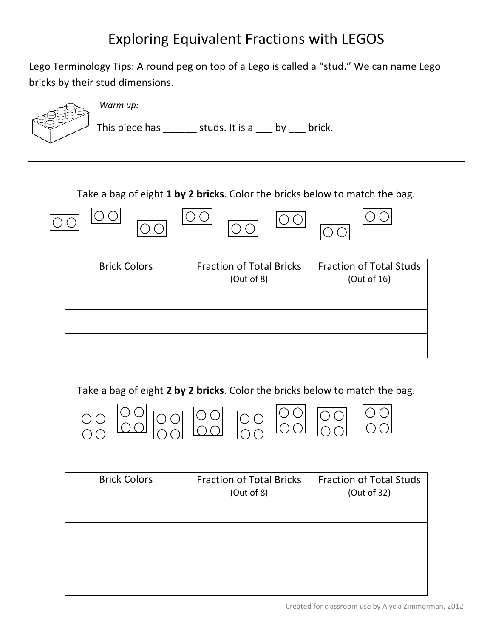## **Exploring Equivalent Fractions with LEGOS**

Lego Terminology Tips: A round peg on top of a Lego is called a "stud." We can name Lego bricks by their stud dimensions.



*Warm up:*

This piece has  $\frac{\ }{\ }$  studs. It is a  $\frac{\ }{\ }$  by  $\frac{\ }{\ }$  brick.

Take a bag of eight **1 by 2 bricks**. Color the bricks below to match the bag.

| <b>Brick Colors</b> | <b>Fraction of Total Bricks</b><br>(Out of 8) | <b>Fraction of Total Studs</b><br>(Out of 16) |
|---------------------|-----------------------------------------------|-----------------------------------------------|
|                     |                                               |                                               |
|                     |                                               |                                               |

Take a bag of eight 2 by 2 bricks. Color the bricks below to match the bag.



| <b>Brick Colors</b> | <b>Fraction of Total Bricks</b> | <b>Fraction of Total Studs</b> |
|---------------------|---------------------------------|--------------------------------|
|                     | (Out of 8)                      | (Out of 32)                    |
|                     |                                 |                                |
|                     |                                 |                                |
|                     |                                 |                                |
|                     |                                 |                                |
|                     |                                 |                                |
|                     |                                 |                                |
|                     |                                 |                                |
|                     |                                 |                                |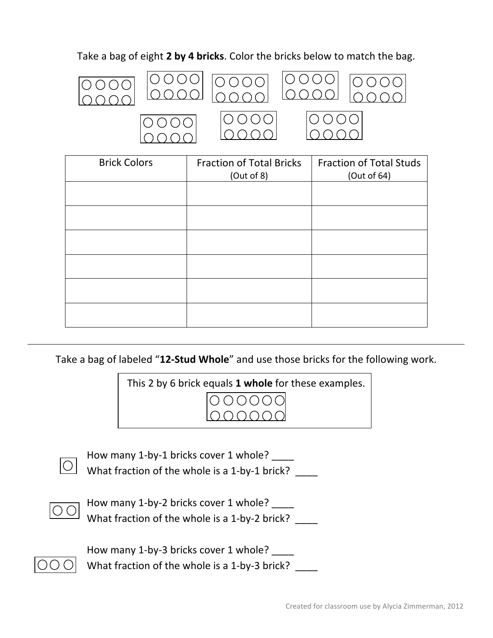## Take a bag of eight 2 by 4 bricks. Color the bricks below to match the bag.



| <b>Brick Colors</b> | <b>Fraction of Total Bricks</b><br>(Out of 8) | <b>Fraction of Total Studs</b><br>(Out of 64) |
|---------------------|-----------------------------------------------|-----------------------------------------------|
|                     |                                               |                                               |
|                     |                                               |                                               |
|                     |                                               |                                               |
|                     |                                               |                                               |
|                     |                                               |                                               |
|                     |                                               |                                               |

Take a bag of labeled "12-Stud Whole" and use those bricks for the following work.





How many 1-by-1 bricks cover 1 whole? \_\_\_\_ What fraction of the whole is a 1-by-1 brick?  $\qquad$ 



How many 1-by-2 bricks cover 1 whole? \_\_\_\_ What fraction of the whole is a 1-by-2 brick?  $\qquad$ 



How many 1-by-3 bricks cover 1 whole? What fraction of the whole is a 1-by-3 brick?  $\qquad$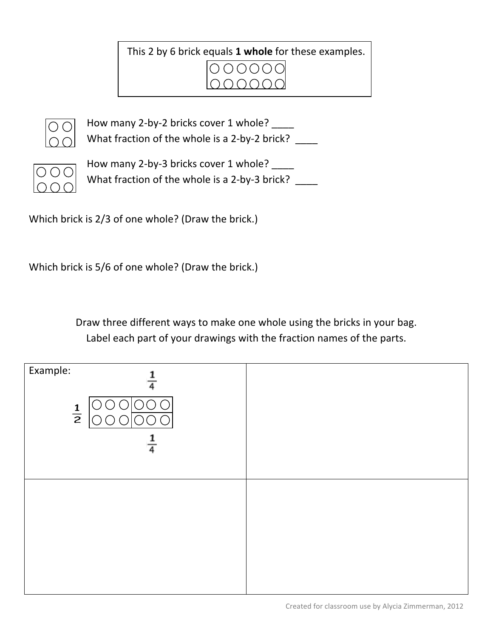This 2 by 6 brick equals 1 whole for these examples.





How many 2-by-2 bricks cover 1 whole? What fraction of the whole is a 2-by-2 brick?  $\qquad$ 



How many 2-by-3 bricks cover 1 whole? What fraction of the whole is a 2-by-3 brick?  $\qquad$ 

Which brick is 2/3 of one whole? (Draw the brick.)

Which brick is 5/6 of one whole? (Draw the brick.)

Draw three different ways to make one whole using the bricks in your bag. Label each part of your drawings with the fraction names of the parts.

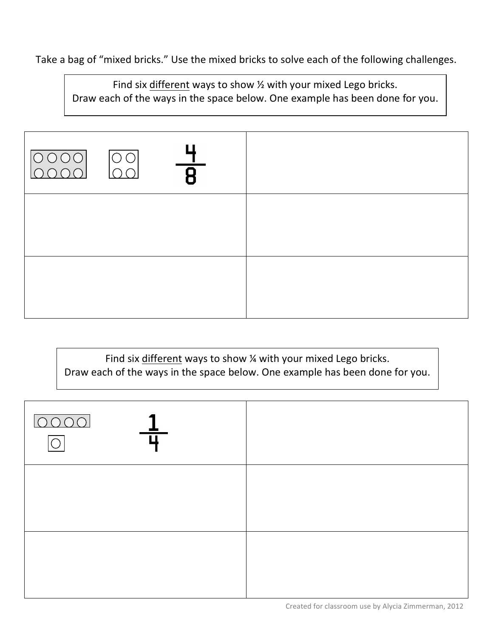Take a bag of "mixed bricks." Use the mixed bricks to solve each of the following challenges.

Find six different ways to show  $\frac{1}{2}$  with your mixed Lego bricks. Draw each of the ways in the space below. One example has been done for you.

| $\overline{ \overline{Q}Q }$<br>$\overline{\mathsf{R}}$<br>$\cap$ |  |
|-------------------------------------------------------------------|--|
|                                                                   |  |
|                                                                   |  |

Find six different ways to show  $\frac{1}{4}$  with your mixed Lego bricks. Draw each of the ways in the space below. One example has been done for you.

| 0000 |  |
|------|--|
|      |  |
|      |  |